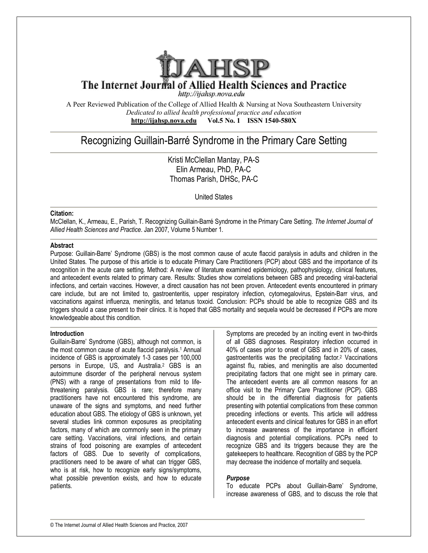

The Internet Journal of Allied Health Sciences and Practice

http://ijahsp.nova.edu

A Peer Reviewed Publication of the College of Allied Health & Nursing at Nova Southeastern University *Dedicated to allied health professional practice and education* **<http://ijahsp.nova.edu> Vol.5 No. 1 ISSN 1540-580X** 

# Recognizing Guillain-Barré Syndrome in the Primary Care Setting

Kristi McClellan Mantay, PA-S Elin Armeau, PhD, PA-C Thomas Parish, DHSc, PA-C

United States

### **Citation:**

McClellan, K., Armeau, E., Parish, T. Recognizing Guillain-Barré Syndrome in the Primary Care Setting. *The Internet Journal of Allied Health Sciences and Practice*. Jan 2007, Volume 5 Number 1.

### **Abstract**

Purpose: Guillain-Barre' Syndrome (GBS) is the most common cause of acute flaccid paralysis in adults and children in the United States. The purpose of this article is to educate Primary Care Practitioners (PCP) about GBS and the importance of its recognition in the acute care setting. Method: A review of literature examined epidemiology, pathophysiology, clinical features, and antecedent events related to primary care. Results: Studies show correlations between GBS and preceding viral-bacterial infections, and certain vaccines. However, a direct causation has not been proven. Antecedent events encountered in primary care include, but are not limited to, gastroenteritis, upper respiratory infection, cytomegalovirus, Epstein-Barr virus, and vaccinations against influenza, meningitis, and tetanus toxoid. Conclusion: PCPs should be able to recognize GBS and its triggers should a case present to their clinics. It is hoped that GBS mortality and sequela would be decreased if PCPs are more knowledgeable about this condition.

### **Introduction**

Guillain-Barre' Syndrome (GBS), although not common, is the most common cause of acute flaccid paralysis.<sup>1</sup> Annual incidence of GBS is approximately 1-3 cases per 100,000 persons in Europe, US, and Australia.<sup>2</sup> GBS is an autoimmune disorder of the peripheral nervous system (PNS) with a range of presentations from mild to lifethreatening paralysis. GBS is rare; therefore many practitioners have not encountered this syndrome, are unaware of the signs and symptoms, and need further education about GBS. The etiology of GBS is unknown, yet several studies link common exposures as precipitating factors, many of which are commonly seen in the primary care setting. Vaccinations, viral infections, and certain strains of food poisoning are examples of antecedent factors of GBS. Due to severity of complications, practitioners need to be aware of what can trigger GBS, who is at risk, how to recognize early signs/symptoms, what possible prevention exists, and how to educate patients.

Symptoms are preceded by an inciting event in two-thirds of all GBS diagnoses. Respiratory infection occurred in 40% of cases prior to onset of GBS and in 20% of cases, gastroenteritis was the precipitating factor.<sup>2</sup> Vaccinations against flu, rabies, and meningitis are also documented precipitating factors that one might see in primary care. The antecedent events are all common reasons for an office visit to the Primary Care Practitioner (PCP). GBS should be in the differential diagnosis for patients presenting with potential complications from these common preceding infections or events. This article will address antecedent events and clinical features for GBS in an effort to increase awareness of the importance in efficient diagnosis and potential complications. PCPs need to recognize GBS and its triggers because they are the gatekeepers to healthcare. Recognition of GBS by the PCP may decrease the incidence of mortality and sequela.

### *Purpose*

To educate PCPs about Guillain-Barre' Syndrome, increase awareness of GBS, and to discuss the role that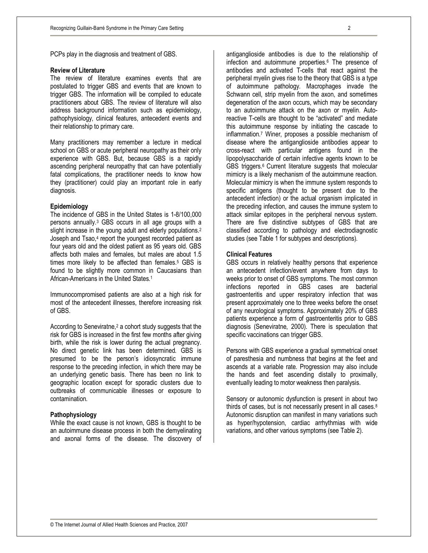PCPs play in the diagnosis and treatment of GBS.

### **Review of Literature**

The review of literature examines events that are postulated to trigger GBS and events that are known to trigger GBS. The information will be compiled to educate practitioners about GBS. The review of literature will also address background information such as epidemiology, pathophysiology, clinical features, antecedent events and their relationship to primary care.

Many practitioners may remember a lecture in medical school on GBS or acute peripheral neuropathy as their only experience with GBS. But, because GBS is a rapidly ascending peripheral neuropathy that can have potentially fatal complications, the practitioner needs to know how they (practitioner) could play an important role in early diagnosis.

### **Epidemiology**

The incidence of GBS in the United States is 1-8/100,000 persons annually.<sup>3</sup> GBS occurs in all age groups with a slight increase in the young adult and elderly populations.<sup>2</sup> Joseph and Tsao,<sup>4</sup> report the youngest recorded patient as four years old and the oldest patient as 95 years old. GBS affects both males and females, but males are about 1.5 times more likely to be affected than females.<sup>5</sup> GBS is found to be slightly more common in Caucasians than African-Americans in the United States.<sup>1</sup>

Immunocompromised patients are also at a high risk for most of the antecedent illnesses, therefore increasing risk of GBS.

According to Seneviratne,<sup>2</sup> a cohort study suggests that the risk for GBS is increased in the first few months after giving birth, while the risk is lower during the actual pregnancy. No direct genetic link has been determined. GBS is presumed to be the person's idiosyncratic immune response to the preceding infection, in which there may be an underlying genetic basis. There has been no link to geographic location except for sporadic clusters due to outbreaks of communicable illnesses or exposure to contamination.

### **Pathophysiology**

While the exact cause is not known, GBS is thought to be an autoimmune disease process in both the demyelinating and axonal forms of the disease. The discovery of

antiganglioside antibodies is due to the relationship of infection and autoimmune properties.<sup>6</sup> The presence of antibodies and activated T-cells that react against the peripheral myelin gives rise to the theory that GBS is a type of autoimmune pathology. Macrophages invade the Schwann cell, strip myelin from the axon, and sometimes degeneration of the axon occurs, which may be secondary to an autoimmune attack on the axon or myelin. Autoreactive T-cells are thought to be "activated" and mediate this autoimmune response by initiating the cascade to inflammation.<sup>7</sup> Winer, proposes a possible mechanism of disease where the antiganglioside antibodies appear to cross-react with particular antigens found in the lipopolysaccharide of certain infective agents known to be GBS triggers.<sup>6</sup> Current literature suggests that molecular mimicry is a likely mechanism of the autoimmune reaction. Molecular mimicry is when the immune system responds to specific antigens (thought to be present due to the antecedent infection) or the actual organism implicated in the preceding infection, and causes the immune system to attack similar epitopes in the peripheral nervous system. There are five distinctive subtypes of GBS that are classified according to pathology and electrodiagnostic studies (see Table 1 for subtypes and descriptions).

### **Clinical Features**

GBS occurs in relatively healthy persons that experience an antecedent infection/event anywhere from days to weeks prior to onset of GBS symptoms. The most common infections reported in GBS cases are bacterial gastroenteritis and upper respiratory infection that was present approximately one to three weeks before the onset of any neurological symptoms. Approximately 20% of GBS patients experience a form of gastroenteritis prior to GBS diagnosis (Seneviratne, 2000). There is speculation that specific vaccinations can trigger GBS.

Persons with GBS experience a gradual symmetrical onset of paresthesia and numbness that begins at the feet and ascends at a variable rate. Progression may also include the hands and feet ascending distally to proximally, eventually leading to motor weakness then paralysis.

Sensory or autonomic dysfunction is present in about two thirds of cases, but is not necessarily present in all cases.<sup>8</sup> Autonomic disruption can manifest in many variations such as hyper/hypotension, cardiac arrhythmias with wide variations, and other various symptoms (see Table 2).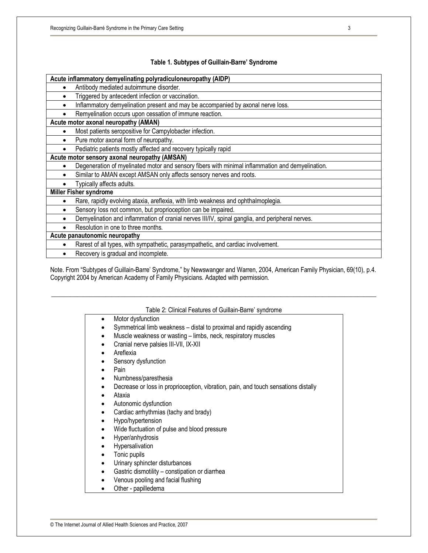# **Table 1. Subtypes of Guillain-Barre' Syndrome**

| Antibody mediated autoimmune disorder.<br>$\bullet$<br>Triggered by antecedent infection or vaccination.<br>Inflammatory demyelination present and may be accompanied by axonal nerve loss.<br>Remyelination occurs upon cessation of immune reaction.<br>٠<br>Acute motor axonal neuropathy (AMAN)<br>Most patients seropositive for Campylobacter infection.<br>$\bullet$<br>Pure motor axonal form of neuropathy.<br>Pediatric patients mostly affected and recovery typically rapid<br>Acute motor sensory axonal neuropathy (AMSAN)<br>Degeneration of myelinated motor and sensory fibers with minimal inflammation and demyelination.<br>$\bullet$<br>Similar to AMAN except AMSAN only affects sensory nerves and roots.<br>٠<br>Typically affects adults.<br>Miller Fisher syndrome<br>Rare, rapidly evolving ataxia, areflexia, with limb weakness and ophthalmoplegia.<br>٠<br>Sensory loss not common, but proprioception can be impaired.<br>$\bullet$<br>Demyelination and inflammation of cranial nerves III/IV, spinal ganglia, and peripheral nerves.<br>Resolution in one to three months.<br>Acute panautonomic neuropathy<br>Rarest of all types, with sympathetic, parasympathetic, and cardiac involvement.<br>$\bullet$ | Acute inflammatory demyelinating polyradiculoneuropathy (AIDP) |  |  |
|------------------------------------------------------------------------------------------------------------------------------------------------------------------------------------------------------------------------------------------------------------------------------------------------------------------------------------------------------------------------------------------------------------------------------------------------------------------------------------------------------------------------------------------------------------------------------------------------------------------------------------------------------------------------------------------------------------------------------------------------------------------------------------------------------------------------------------------------------------------------------------------------------------------------------------------------------------------------------------------------------------------------------------------------------------------------------------------------------------------------------------------------------------------------------------------------------------------------------------------------|----------------------------------------------------------------|--|--|
|                                                                                                                                                                                                                                                                                                                                                                                                                                                                                                                                                                                                                                                                                                                                                                                                                                                                                                                                                                                                                                                                                                                                                                                                                                                |                                                                |  |  |
|                                                                                                                                                                                                                                                                                                                                                                                                                                                                                                                                                                                                                                                                                                                                                                                                                                                                                                                                                                                                                                                                                                                                                                                                                                                |                                                                |  |  |
|                                                                                                                                                                                                                                                                                                                                                                                                                                                                                                                                                                                                                                                                                                                                                                                                                                                                                                                                                                                                                                                                                                                                                                                                                                                |                                                                |  |  |
|                                                                                                                                                                                                                                                                                                                                                                                                                                                                                                                                                                                                                                                                                                                                                                                                                                                                                                                                                                                                                                                                                                                                                                                                                                                |                                                                |  |  |
|                                                                                                                                                                                                                                                                                                                                                                                                                                                                                                                                                                                                                                                                                                                                                                                                                                                                                                                                                                                                                                                                                                                                                                                                                                                |                                                                |  |  |
|                                                                                                                                                                                                                                                                                                                                                                                                                                                                                                                                                                                                                                                                                                                                                                                                                                                                                                                                                                                                                                                                                                                                                                                                                                                |                                                                |  |  |
|                                                                                                                                                                                                                                                                                                                                                                                                                                                                                                                                                                                                                                                                                                                                                                                                                                                                                                                                                                                                                                                                                                                                                                                                                                                |                                                                |  |  |
|                                                                                                                                                                                                                                                                                                                                                                                                                                                                                                                                                                                                                                                                                                                                                                                                                                                                                                                                                                                                                                                                                                                                                                                                                                                |                                                                |  |  |
|                                                                                                                                                                                                                                                                                                                                                                                                                                                                                                                                                                                                                                                                                                                                                                                                                                                                                                                                                                                                                                                                                                                                                                                                                                                |                                                                |  |  |
|                                                                                                                                                                                                                                                                                                                                                                                                                                                                                                                                                                                                                                                                                                                                                                                                                                                                                                                                                                                                                                                                                                                                                                                                                                                |                                                                |  |  |
|                                                                                                                                                                                                                                                                                                                                                                                                                                                                                                                                                                                                                                                                                                                                                                                                                                                                                                                                                                                                                                                                                                                                                                                                                                                |                                                                |  |  |
|                                                                                                                                                                                                                                                                                                                                                                                                                                                                                                                                                                                                                                                                                                                                                                                                                                                                                                                                                                                                                                                                                                                                                                                                                                                |                                                                |  |  |
|                                                                                                                                                                                                                                                                                                                                                                                                                                                                                                                                                                                                                                                                                                                                                                                                                                                                                                                                                                                                                                                                                                                                                                                                                                                |                                                                |  |  |
|                                                                                                                                                                                                                                                                                                                                                                                                                                                                                                                                                                                                                                                                                                                                                                                                                                                                                                                                                                                                                                                                                                                                                                                                                                                |                                                                |  |  |
|                                                                                                                                                                                                                                                                                                                                                                                                                                                                                                                                                                                                                                                                                                                                                                                                                                                                                                                                                                                                                                                                                                                                                                                                                                                |                                                                |  |  |
|                                                                                                                                                                                                                                                                                                                                                                                                                                                                                                                                                                                                                                                                                                                                                                                                                                                                                                                                                                                                                                                                                                                                                                                                                                                |                                                                |  |  |
|                                                                                                                                                                                                                                                                                                                                                                                                                                                                                                                                                                                                                                                                                                                                                                                                                                                                                                                                                                                                                                                                                                                                                                                                                                                |                                                                |  |  |
|                                                                                                                                                                                                                                                                                                                                                                                                                                                                                                                                                                                                                                                                                                                                                                                                                                                                                                                                                                                                                                                                                                                                                                                                                                                |                                                                |  |  |
|                                                                                                                                                                                                                                                                                                                                                                                                                                                                                                                                                                                                                                                                                                                                                                                                                                                                                                                                                                                                                                                                                                                                                                                                                                                |                                                                |  |  |
| Recovery is gradual and incomplete.                                                                                                                                                                                                                                                                                                                                                                                                                                                                                                                                                                                                                                                                                                                                                                                                                                                                                                                                                                                                                                                                                                                                                                                                            |                                                                |  |  |

Note. From "Subtypes of Guillain-Barre' Syndrome," by Newswanger and Warren, 2004, American Family Physician, 69(10), p.4. Copyright 2004 by American Academy of Family Physicians. Adapted with permission.

\_\_\_\_\_\_\_\_\_\_\_\_\_\_\_\_\_\_\_\_\_\_\_\_\_\_\_\_\_\_\_\_\_\_\_\_\_\_\_\_\_\_\_\_\_\_\_\_\_\_\_\_\_\_\_\_\_\_\_\_\_\_\_\_\_\_\_\_\_\_\_\_\_\_\_\_\_\_\_\_\_\_\_\_\_\_\_\_\_\_\_\_\_\_\_\_\_\_\_\_\_\_

|           | Motor dysfunction                                                                  |
|-----------|------------------------------------------------------------------------------------|
|           | Symmetrical limb weakness – distal to proximal and rapidly ascending               |
| ٠         | Muscle weakness or wasting - limbs, neck, respiratory muscles                      |
| ٠         | Cranial nerve palsies III-VII, IX-XII                                              |
| ٠         | Areflexia                                                                          |
|           | Sensory dysfunction                                                                |
| ٠         | Pain                                                                               |
| ٠         | Numbness/paresthesia                                                               |
| ٠         | Decrease or loss in proprioception, vibration, pain, and touch sensations distally |
| ٠         | Ataxia                                                                             |
|           | Autonomic dysfunction                                                              |
| ٠         | Cardiac arrhythmias (tachy and brady)                                              |
|           | Hypo/hypertension                                                                  |
| ٠         | Wide fluctuation of pulse and blood pressure                                       |
| ٠         | Hyper/anhydrosis                                                                   |
| $\bullet$ | Hypersalivation                                                                    |
| $\bullet$ | Tonic pupils                                                                       |
|           | Urinary sphincter disturbances                                                     |
|           | Gastric dismotility - constipation or diarrhea                                     |
|           | Venous pooling and facial flushing                                                 |
|           | مممه ماليمان سمطتك                                                                 |

• Other - papilledema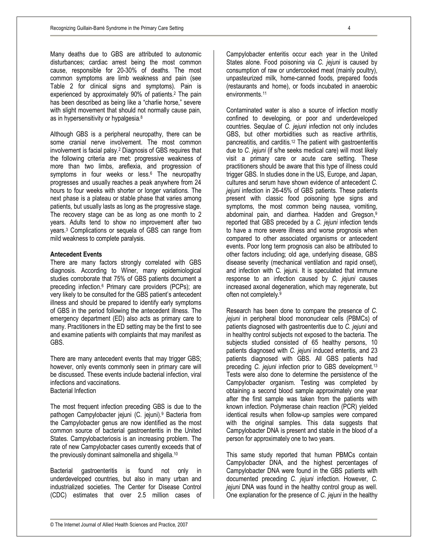Many deaths due to GBS are attributed to autonomic disturbances; cardiac arrest being the most common cause, responsible for 20-30% of deaths. The most common symptoms are limb weakness and pain (see Table 2 for clinical signs and symptoms). Pain is experienced by approximately 90% of patients.<sup>2</sup> The pain has been described as being like a "charlie horse," severe with slight movement that should not normally cause pain, as in hypersensitivity or hypalgesia.<sup>8</sup>

Although GBS is a peripheral neuropathy, there can be some cranial nerve involvement. The most common involvement is facial palsy.<sup>2</sup> Diagnosis of GBS requires that the following criteria are met: progressive weakness of more than two limbs, areflexia, and progression of symptoms in four weeks or less.<sup>6</sup> The neuropathy progresses and usually reaches a peak anywhere from 24 hours to four weeks with shorter or longer variations. The next phase is a plateau or stable phase that varies among patients, but usually lasts as long as the progressive stage. The recovery stage can be as long as one month to 2 years. Adults tend to show no improvement after two years.<sup>3</sup> Complications or sequela of GBS can range from mild weakness to complete paralysis.

### **Antecedent Events**

There are many factors strongly correlated with GBS diagnosis. According to Winer, many epidemiological studies corroborate that 75% of GBS patients document a preceding infection.<sup>6</sup> Primary care providers (PCPs); are very likely to be consulted for the GBS patient's antecedent illness and should be prepared to identify early symptoms of GBS in the period following the antecedent illness. The emergency department (ED) also acts as primary care to many. Practitioners in the ED setting may be the first to see and examine patients with complaints that may manifest as GBS.

There are many antecedent events that may trigger GBS; however, only events commonly seen in primary care will be discussed. These events include bacterial infection, viral infections and vaccinations. Bacterial Infection

The most frequent infection preceding GBS is due to the pathogen Campylobacter jejuni (C. jejuni).<sup>9</sup> Bacteria from the Campylobacter genus are now identified as the most common source of bacterial gastroenteritis in the United States. Campylobacteriosis is an increasing problem. The rate of new Campylobacter cases currently exceeds that of the previously dominant salmonella and shigella.<sup>10</sup>

Bacterial gastroenteritis is found not only in underdeveloped countries, but also in many urban and industrialized societies. The Center for Disease Control (CDC) estimates that over 2.5 million cases of

Campylobacter enteritis occur each year in the United States alone. Food poisoning via *C. jejuni* is caused by consumption of raw or undercooked meat (mainly poultry), unpasteurized milk, home-canned foods, prepared foods (restaurants and home), or foods incubated in anaerobic environments.<sup>11</sup>

Contaminated water is also a source of infection mostly confined to developing, or poor and underdeveloped countries. Sequlae of *C. jejuni* infection not only includes GBS, but other morbidities such as reactive arthritis, pancreatitis, and carditis.<sup>12</sup> The patient with gastroenteritis due to *C. jejuni* (if s/he seeks medical care) will most likely visit a primary care or acute care setting. These practitioners should be aware that this type of illness could trigger GBS. In studies done in the US, Europe, and Japan, cultures and serum have shown evidence of antecedent *C. jejuni* infection in 26-45% of GBS patients. These patients present with classic food poisoning type signs and symptoms, the most common being nausea, vomiting, abdominal pain, and diarrhea. Hadden and Gregson,<sup>9</sup> reported that GBS preceded by a *C. jejuni* infection tends to have a more severe illness and worse prognosis when compared to other associated organisms or antecedent events. Poor long term prognosis can also be attributed to other factors including; old age, underlying disease, GBS disease severity (mechanical ventilation and rapid onset), and infection with C. jejuni. It is speculated that immune response to an infection caused by *C. jejuni* causes increased axonal degeneration, which may regenerate, but often not completely.<sup>9</sup>

Research has been done to compare the presence of *C. jejuni* in peripheral blood mononuclear cells (PBMCs) of patients diagnosed with gastroenteritis due to *C. jejuni* and in healthy control subjects not exposed to the bacteria. The subjects studied consisted of 65 healthy persons, 10 patients diagnosed with *C. jejuni* induced enteritis, and 23 patients diagnosed with GBS. All GBS patients had preceding *C. jejuni* infection prior to GBS development.<sup>13</sup> Tests were also done to determine the persistence of the Campylobacter organism. Testing was completed by obtaining a second blood sample approximately one year after the first sample was taken from the patients with known infection. Polymerase chain reaction (PCR) yielded identical results when follow-up samples were compared with the original samples. This data suggests that Campylobacter DNA is present and stable in the blood of a person for approximately one to two years.

This same study reported that human PBMCs contain Campylobacter DNA, and the highest percentages of Campylobacter DNA were found in the GBS patients with documented preceding *C. jejuni* infection. However, *C. jejuni* DNA was found in the healthy control group as well. One explanation for the presence of *C. jejuni* in the healthy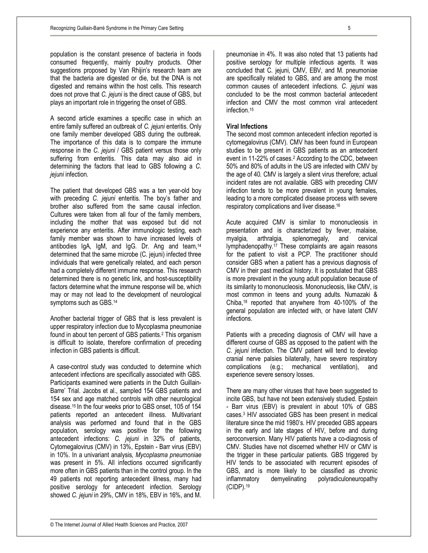population is the constant presence of bacteria in foods consumed frequently, mainly poultry products. Other suggestions proposed by Van Rhijin's research team are that the bacteria are digested or die, but the DNA is not digested and remains within the host cells. This research does not prove that *C. jejuni* is the direct cause of GBS, but plays an important role in triggering the onset of GBS.

A second article examines a specific case in which an entire family suffered an outbreak of *C. jejuni* enteritis. Only one family member developed GBS during the outbreak. The importance of this data is to compare the immune response in the *C. jejuni / GBS patient versus those only* suffering from enteritis. This data may also aid in determining the factors that lead to GBS following a *C. jejuni* infection.

The patient that developed GBS was a ten year-old boy with preceding *C. jejuni* enteritis. The boy's father and brother also suffered from the same causal infection. Cultures were taken from all four of the family members, including the mother that was exposed but did not experience any enteritis. After immunologic testing, each family member was shown to have increased levels of antibodies IgA, IgM, and IgG. Dr. Ang and team,<sup>14</sup> determined that the same microbe (C. jejuni) infected three individuals that were genetically related, and each person had a completely different immune response. This research determined there is no genetic link, and host-susceptibility factors determine what the immune response will be, which may or may not lead to the development of neurological symptoms such as GBS.<sup>14</sup>

Another bacterial trigger of GBS that is less prevalent is upper respiratory infection due to Mycoplasma pneumoniae found in about ten percent of GBS patients.<sup>2</sup> This organism is difficult to isolate, therefore confirmation of preceding infection in GBS patients is difficult.

A case-control study was conducted to determine which antecedent infections are specifically associated with GBS. Participants examined were patients in the Dutch Guillain-Barre' Trial. Jacobs et al., sampled 154 GBS patients and 154 sex and age matched controls with other neurological disease.15 In the four weeks prior to GBS onset, 105 of 154 patients reported an antecedent illness. Multivariant analysis was performed and found that in the GBS population, serology was positive for the following antecedent infections: *C. jejuni* in 32% of patients, Cytomegalovirus (CMV) in 13%, Epstein - Barr virus (EBV) in 10%. In a univariant analysis, *Mycoplasma pneumoniae* was present in 5%. All infections occurred significantly more often in GBS patients than in the control group. In the 49 patients not reporting antecedent illness, many had positive serology for antecedent infection. Serology showed *C. jejuni* in 29%, CMV in 18%, EBV in 16%, and M.

pneumoniae in 4%. It was also noted that 13 patients had positive serology for multiple infectious agents. It was concluded that C. jejuni, CMV, EBV, and M. pneumoniae are specifically related to GBS, and are among the most common causes of antecedent infections. *C. jejuni* was concluded to be the most common bacterial antecedent infection and CMV the most common viral antecedent infection.<sup>15</sup>

## **Viral Infections**

The second most common antecedent infection reported is cytomegalovirus (CMV). CMV has been found in European studies to be present in GBS patients as an antecedent event in 11-22% of cases.<sup>2</sup> According to the CDC, between 50% and 80% of adults in the US are infected with CMV by the age of 40. CMV is largely a silent virus therefore; actual incident rates are not available. GBS with preceding CMV infection tends to be more prevalent in young females, leading to a more complicated disease process with severe respiratory complications and liver disease.<sup>16</sup>

Acute acquired CMV is similar to mononucleosis in presentation and is characterized by fever, malaise, myalgia, arthralgia, splenomegaly, and cervical lymphadenopathy.<sup>17</sup> These complaints are again reasons for the patient to visit a PCP. The practitioner should consider GBS when a patient has a previous diagnosis of CMV in their past medical history. It is postulated that GBS is more prevalent in the young adult population because of its similarity to mononucleosis. Mononucleosis, like CMV, is most common in teens and young adults. Numazaki & Chiba,<sup>18</sup> reported that anywhere from 40-100% of the general population are infected with, or have latent CMV infections.

Patients with a preceding diagnosis of CMV will have a different course of GBS as opposed to the patient with the *C. jejuni* infection. The CMV patient will tend to develop cranial nerve palsies bilaterally, have severe respiratory complications (e.g.; mechanical ventilation), and experience severe sensory losses.

There are many other viruses that have been suggested to incite GBS, but have not been extensively studied. Epstein - Barr virus (EBV) is prevalent in about 10% of GBS cases.<sup>3</sup> HIV associated GBS has been present in medical literature since the mid 1980's. HIV preceded GBS appears in the early and late stages of HIV, before and during seroconversion. Many HIV patients have a co-diagnosis of CMV. Studies have not discerned whether HIV or CMV is the trigger in these particular patients. GBS triggered by HIV tends to be associated with recurrent episodes of GBS, and is more likely to be classified as chronic inflammatory demyelinating polyradiculoneuropathy demyelinating polyradiculoneuropathy (CIDP).<sup>19</sup>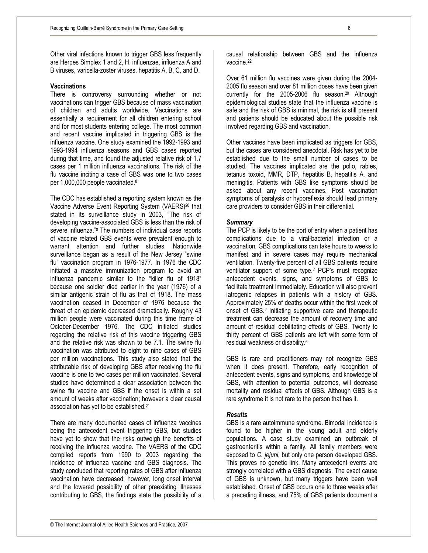Other viral infections known to trigger GBS less frequently are Herpes Simplex 1 and 2, H. influenzae, influenza A and B viruses, varicella-zoster viruses, hepatitis A, B, C, and D.

### **Vaccinations**

There is controversy surrounding whether or not vaccinations can trigger GBS because of mass vaccination of children and adults worldwide. Vaccinations are essentially a requirement for all children entering school and for most students entering college. The most common and recent vaccine implicated in triggering GBS is the influenza vaccine. One study examined the 1992-1993 and 1993-1994 influenza seasons and GBS cases reported during that time, and found the adjusted relative risk of 1.7 cases per 1 million influenza vaccinations. The risk of the flu vaccine inciting a case of GBS was one to two cases per 1,000,000 people vaccinated.<sup>8</sup>

The CDC has established a reporting system known as the Vaccine Adverse Event Reporting System (VAERS)<sup>20</sup> that stated in its surveillance study in 2003, "The risk of developing vaccine-associated GBS is less than the risk of severe influenza."<sup>8</sup> The numbers of individual case reports of vaccine related GBS events were prevalent enough to warrant attention and further studies. Nationwide surveillance began as a result of the New Jersey "swine flu" vaccination program in 1976-1977. In 1976 the CDC initiated a massive immunization program to avoid an influenza pandemic similar to the "killer flu of 1918" because one soldier died earlier in the year (1976) of a similar antigenic strain of flu as that of 1918. The mass vaccination ceased in December of 1976 because the threat of an epidemic decreased dramatically. Roughly 43 million people were vaccinated during this time frame of October-December 1976. The CDC initiated studies regarding the relative risk of this vaccine triggering GBS and the relative risk was shown to be 7.1. The swine flu vaccination was attributed to eight to nine cases of GBS per million vaccinations. This study also stated that the attributable risk of developing GBS after receiving the flu vaccine is one to two cases per million vaccinated. Several studies have determined a clear association between the swine flu vaccine and GBS if the onset is within a set amount of weeks after vaccination; however a clear causal association has yet to be established.<sup>21</sup>

There are many documented cases of influenza vaccines being the antecedent event triggering GBS, but studies have yet to show that the risks outweigh the benefits of receiving the influenza vaccine. The VAERS of the CDC compiled reports from 1990 to 2003 regarding the incidence of influenza vaccine and GBS diagnosis. The study concluded that reporting rates of GBS after influenza vaccination have decreased; however, long onset interval and the lowered possibility of other preexisting illnesses contributing to GBS, the findings state the possibility of a

causal relationship between GBS and the influenza vaccine.<sup>22</sup>

Over 61 million flu vaccines were given during the 2004- 2005 flu season and over 81 million doses have been given currently for the 2005-2006 flu season.<sup>20</sup> Although epidemiological studies state that the influenza vaccine is safe and the risk of GBS is minimal, the risk is still present and patients should be educated about the possible risk involved regarding GBS and vaccination.

Other vaccines have been implicated as triggers for GBS, but the cases are considered anecdotal. Risk has yet to be established due to the small number of cases to be studied. The vaccines implicated are the polio, rabies, tetanus toxoid, MMR, DTP, hepatitis B, hepatitis A, and meningitis. Patients with GBS like symptoms should be asked about any recent vaccines. Post vaccination symptoms of paralysis or hyporeflexia should lead primary care providers to consider GBS in their differential.

### *Summary*

The PCP is likely to be the port of entry when a patient has complications due to a viral-bacterial infection or a vaccination. GBS complications can take hours to weeks to manifest and in severe cases may require mechanical ventilation. Twenty-five percent of all GBS patients require ventilator support of some type.<sup>2</sup> PCP's must recognize antecedent events, signs, and symptoms of GBS to facilitate treatment immediately. Education will also prevent iatrogenic relapses in patients with a history of GBS. Approximately 25% of deaths occur within the first week of onset of GBS.<sup>2</sup> Initiating supportive care and therapeutic treatment can decrease the amount of recovery time and amount of residual debilitating effects of GBS. Twenty to thirty percent of GBS patients are left with some form of residual weakness or disability.<sup>6</sup>

GBS is rare and practitioners may not recognize GBS when it does present. Therefore, early recognition of antecedent events, signs and symptoms, and knowledge of GBS, with attention to potential outcomes, will decrease mortality and residual effects of GBS. Although GBS is a rare syndrome it is not rare to the person that has it.

#### *Results*

GBS is a rare autoimmune syndrome. Bimodal incidence is found to be higher in the young adult and elderly populations. A case study examined an outbreak of gastroenteritis within a family. All family members were exposed to *C. jejuni*, but only one person developed GBS. This proves no genetic link. Many antecedent events are strongly correlated with a GBS diagnosis. The exact cause of GBS is unknown, but many triggers have been well established. Onset of GBS occurs one to three weeks after a preceding illness, and 75% of GBS patients document a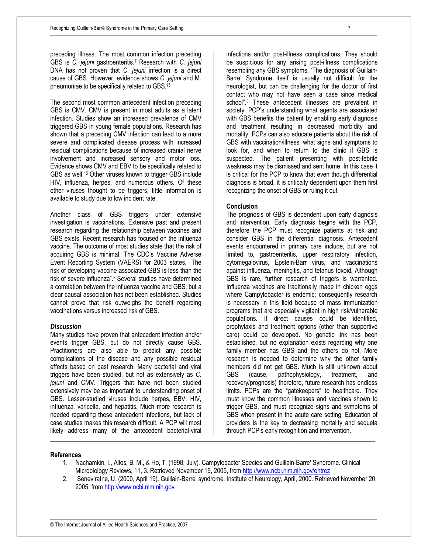preceding illness. The most common infection preceding GBS is *C. jejuni* gastroenteritis.<sup>7</sup> Research with *C. jejuni*  DNA has not proven that *C. jejuni* infection is a direct cause of GBS. However, evidence shows *C. jejuni* and M. pneumoniae to be specifically related to GBS.<sup>15</sup>

The second most common antecedent infection preceding GBS is CMV. CMV is present in most adults as a latent infection. Studies show an increased prevalence of CMV triggered GBS in young female populations. Research has shown that a preceding CMV infection can lead to a more severe and complicated disease process with increased residual complications because of increased cranial nerve involvement and increased sensory and motor loss. Evidence shows CMV and EBV to be specifically related to GBS as well.<sup>15</sup> Other viruses known to trigger GBS include HIV, influenza, herpes, and numerous others. Of these other viruses thought to be triggers, little information is available to study due to low incident rate.

Another class of GBS triggers under extensive investigation is vaccinations. Extensive past and present research regarding the relationship between vaccines and GBS exists. Recent research has focused on the influenza vaccine. The outcome of most studies state that the risk of acquiring GBS is minimal. The CDC's Vaccine Adverse Event Reporting System (VAERS) for 2003 states, "The risk of developing vaccine-associated GBS is less than the risk of severe influenza".<sup>8</sup> Several studies have determined a correlation between the influenza vaccine and GBS, but a clear causal association has not been established. Studies cannot prove that risk outweighs the benefit regarding vaccinations versus increased risk of GBS.

### *Discussion*

Many studies have proven that antecedent infection and/or events trigger GBS, but do not directly cause GBS. Practitioners are also able to predict any possible complications of the disease and any possible residual effects based on past research. Many bacterial and viral triggers have been studied, but not as extensively as *C. jejuni* and CMV. Triggers that have not been studied extensively may be as important to understanding onset of GBS. Lesser-studied viruses include herpes, EBV, HIV, influenza, varicella, and hepatitis. Much more research is needed regarding these antecedent infections, but lack of case studies makes this research difficult. A PCP will most likely address many of the antecedent bacterial-viral

infections and/or post-illness complications. They should be suspicious for any arising post-illness complications resembling any GBS symptoms. "The diagnosis of Guillain-Barre' Syndrome itself is usually not difficult for the neurologist, but can be challenging for the doctor of first contact who may not have seen a case since medical school".<sup>5</sup> These antecedent illnesses are prevalent in society. PCP's understanding what agents are associated with GBS benefits the patient by enabling early diagnosis and treatment resulting in decreased morbidity and mortality. PCPs can also educate patients about the risk of GBS with vaccination/illness, what signs and symptoms to look for, and when to return to the clinic if GBS is suspected. The patient presenting with post-febrile weakness may be dismissed and sent home. In this case it is critical for the PCP to know that even though differential diagnosis is broad, it is critically dependent upon them first recognizing the onset of GBS or ruling it out.

### **Conclusion**

The prognosis of GBS is dependent upon early diagnosis and intervention. Early diagnosis begins with the PCP, therefore the PCP must recognize patients at risk and consider GBS in the differential diagnosis. Antecedent events encountered in primary care include, but are not limited to, gastroenteritis, upper respiratory infection, cytomegalovirus, Epstein-Barr virus, and vaccinations against influenza, meningitis, and tetanus toxoid. Although GBS is rare, further research of triggers is warranted. Influenza vaccines are traditionally made in chicken eggs where Campylobacter is endemic; consequently research is necessary in this field because of mass immunization programs that are especially vigilant in high risk/vulnerable populations. If direct causes could be identified, prophylaxis and treatment options (other than supportive care) could be developed. No genetic link has been established, but no explanation exists regarding why one family member has GBS and the others do not. More research is needed to determine why the other family members did not get GBS. Much is still unknown about GBS (cause, pathophysiology, treatment, and recovery/prognosis) therefore, future research has endless limits. PCPs are the "gatekeepers" to healthcare. They must know the common illnesses and vaccines shown to trigger GBS, and must recognize signs and symptoms of GBS when present in the acute care setting. Education of providers is the key to decreasing mortality and sequela through PCP's early recognition and intervention.

### **References**

1. Nachamkin, I., Allos, B. M., & Ho, T. (1998, July). Campylobacter Species and Guillain-Barre' Syndrome. Clinical Microbiology Reviews, 11, 3. Retrieved November 19, 2005, from <http://www.ncbi.nlm.nih.gov/entrez>

\_\_\_\_\_\_\_\_\_\_\_\_\_\_\_\_\_\_\_\_\_\_\_\_\_\_\_\_\_\_\_\_\_\_\_\_\_\_\_\_\_\_\_\_\_\_\_\_\_\_\_\_\_\_\_\_\_\_\_\_\_\_\_\_\_\_\_\_\_\_\_\_\_\_\_\_\_\_\_\_\_\_\_\_\_\_\_\_\_\_\_\_\_\_\_\_\_\_\_\_\_\_

2. Seneviratne, U. (2000, April 19). Guillain-Barre' syndrome. Institute of Neurology, April, 2000. Retrieved November 20, 2005, from <http://www.ncbi.nlm.nih.gov>